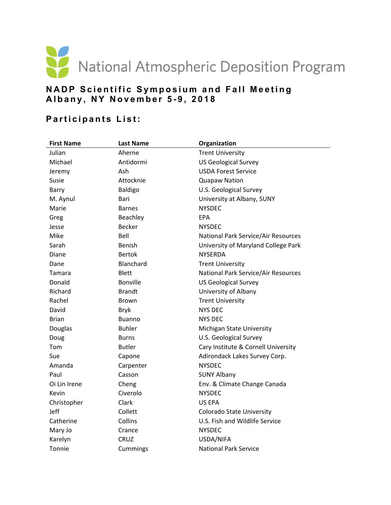

## **NADP Scientific Sympos ium and Fall Meeting Albany, NY Novem ber 5-9, 2018**

## **Participants List:**

| <b>First Name</b> | <b>Last Name</b> | Organization                        |
|-------------------|------------------|-------------------------------------|
| Julian            | Aherne           | <b>Trent University</b>             |
| Michael           | Antidormi        | <b>US Geological Survey</b>         |
| Jeremy            | Ash              | <b>USDA Forest Service</b>          |
| Susie             | Attocknie        | <b>Quapaw Nation</b>                |
| Barry             | <b>Baldigo</b>   | U.S. Geological Survey              |
| M. Aynul          | Bari             | University at Albany, SUNY          |
| Marie             | <b>Barnes</b>    | <b>NYSDEC</b>                       |
| Greg              | Beachley         | <b>EPA</b>                          |
| Jesse             | <b>Becker</b>    | <b>NYSDEC</b>                       |
| Mike              | Bell             | National Park Service/Air Resources |
| Sarah             | Benish           | University of Maryland College Park |
| Diane             | <b>Bertok</b>    | <b>NYSERDA</b>                      |
| Dane              | Blanchard        | <b>Trent University</b>             |
| Tamara            | <b>Blett</b>     | National Park Service/Air Resources |
| Donald            | <b>Bonville</b>  | <b>US Geological Survey</b>         |
| Richard           | <b>Brandt</b>    | University of Albany                |
| Rachel            | <b>Brown</b>     | <b>Trent University</b>             |
| David             | <b>Bryk</b>      | <b>NYS DEC</b>                      |
| <b>Brian</b>      | <b>Buanno</b>    | NYS DEC                             |
| Douglas           | <b>Buhler</b>    | Michigan State University           |
| Doug              | <b>Burns</b>     | U.S. Geological Survey              |
| Tom               | <b>Butler</b>    | Cary Institute & Cornell University |
| Sue               | Capone           | Adirondack Lakes Survey Corp.       |
| Amanda            | Carpenter        | <b>NYSDEC</b>                       |
| Paul              | Casson           | <b>SUNY Albany</b>                  |
| Oi Lin Irene      | Cheng            | Env. & Climate Change Canada        |
| Kevin             | Civerolo         | <b>NYSDEC</b>                       |
| Christopher       | Clark            | US EPA                              |
| Jeff              | Collett          | Colorado State University           |
| Catherine         | Collins          | U.S. Fish and Wildlife Service      |
| Mary Jo           | Crance           | <b>NYSDEC</b>                       |
| Karelyn           | CRUZ             | USDA/NIFA                           |
| Tonnie            | Cummings         | <b>National Park Service</b>        |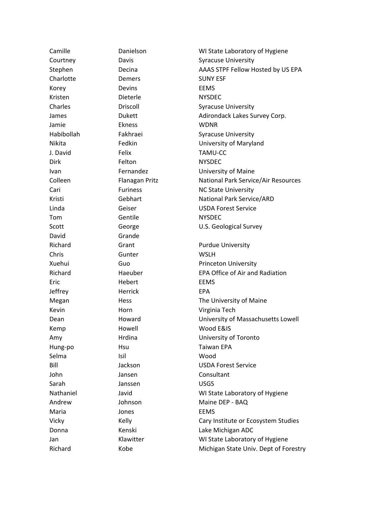| Camille    | Danielson       | WI State Laboratory of Hygiene        |
|------------|-----------------|---------------------------------------|
| Courtney   | Davis           | <b>Syracuse University</b>            |
| Stephen    | Decina          | AAAS STPF Fellow Hosted by US EPA     |
| Charlotte  | Demers          | <b>SUNY ESF</b>                       |
| Korey      | Devins          | <b>EEMS</b>                           |
| Kristen    | Dieterle        | <b>NYSDEC</b>                         |
| Charles    | Driscoll        | <b>Syracuse University</b>            |
| James      | <b>Dukett</b>   | Adirondack Lakes Survey Corp.         |
| Jamie      | Ekness          | <b>WDNR</b>                           |
| Habibollah | Fakhraei        | <b>Syracuse University</b>            |
| Nikita     | Fedkin          | University of Maryland                |
| J. David   | Felix           | TAMU-CC                               |
| Dirk       | Felton          | <b>NYSDEC</b>                         |
| Ivan       | Fernandez       | University of Maine                   |
| Colleen    | Flanagan Pritz  | National Park Service/Air Resources   |
| Cari       | <b>Furiness</b> | <b>NC State University</b>            |
| Kristi     | Gebhart         | National Park Service/ARD             |
| Linda      | Geiser          | <b>USDA Forest Service</b>            |
| Tom        | Gentile         | <b>NYSDEC</b>                         |
| Scott      | George          | U.S. Geological Survey                |
| David      | Grande          |                                       |
| Richard    | Grant           | <b>Purdue University</b>              |
| Chris      | Gunter          | <b>WSLH</b>                           |
| Xuehui     | Guo             | <b>Princeton University</b>           |
| Richard    | Haeuber         | EPA Office of Air and Radiation       |
| Eric       | Hebert          | <b>EEMS</b>                           |
| Jeffrey    | Herrick         | <b>EPA</b>                            |
| Megan      | Hess            | The University of Maine               |
| Kevin      | Horn            | Virginia Tech                         |
| Dean       | Howard          | University of Massachusetts Lowell    |
| Kemp       | Howell          | Wood E&IS                             |
| Amy        | Hrdina          | University of Toronto                 |
| Hung-po    | Hsu             | <b>Taiwan EPA</b>                     |
| Selma      | Isil            | Wood                                  |
| Bill       | Jackson         | <b>USDA Forest Service</b>            |
| John       | Jansen          | Consultant                            |
| Sarah      | Janssen         | <b>USGS</b>                           |
| Nathaniel  | Javid           | WI State Laboratory of Hygiene        |
| Andrew     | Johnson         | Maine DEP - BAQ                       |
| Maria      | Jones           | <b>EEMS</b>                           |
| Vicky      | Kelly           | Cary Institute or Ecosystem Studies   |
| Donna      | Kenski          | Lake Michigan ADC                     |
| Jan        | Klawitter       | WI State Laboratory of Hygiene        |
| Richard    | Kobe            | Michigan State Univ. Dept of Forestry |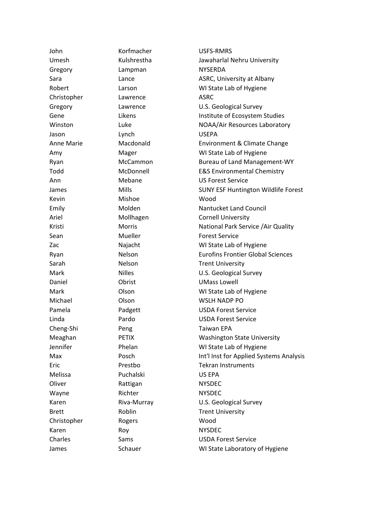| John              | Korfmacher    | USFS-RMRS                                  |
|-------------------|---------------|--------------------------------------------|
| Umesh             | Kulshrestha   | Jawaharlal Nehru University                |
| Gregory           | Lampman       | <b>NYSERDA</b>                             |
| Sara              | Lance         | ASRC, University at Albany                 |
| Robert            | Larson        | WI State Lab of Hygiene                    |
| Christopher       | Lawrence      | <b>ASRC</b>                                |
| Gregory           | Lawrence      | U.S. Geological Survey                     |
| Gene              | Likens        | Institute of Ecosystem Studies             |
| Winston           | Luke          | NOAA/Air Resources Laboratory              |
| Jason             | Lynch         | <b>USEPA</b>                               |
| <b>Anne Marie</b> | Macdonald     | Environment & Climate Change               |
| Amy               | Mager         | WI State Lab of Hygiene                    |
| Ryan              | McCammon      | <b>Bureau of Land Management-WY</b>        |
| Todd              | McDonnell     | <b>E&amp;S Environmental Chemistry</b>     |
| Ann               | Mebane        | <b>US Forest Service</b>                   |
| James             | Mills         | <b>SUNY ESF Huntington Wildlife Forest</b> |
| Kevin             | Mishoe        | Wood                                       |
| Emily             | Molden        | Nantucket Land Council                     |
| Ariel             | Mollhagen     | <b>Cornell University</b>                  |
| Kristi            | <b>Morris</b> | National Park Service / Air Quality        |
| Sean              | Mueller       | <b>Forest Service</b>                      |
| Zac               | Najacht       | WI State Lab of Hygiene                    |
| Ryan              | Nelson        | <b>Eurofins Frontier Global Sciences</b>   |
| Sarah             | Nelson        | <b>Trent University</b>                    |
| Mark              | <b>Nilles</b> | U.S. Geological Survey                     |
| Daniel            | Obrist        | <b>UMass Lowell</b>                        |
| Mark              | Olson         | WI State Lab of Hygiene                    |
| Michael           | Olson         | <b>WSLH NADP PO</b>                        |
| Pamela            | Padgett       | <b>USDA Forest Service</b>                 |
| Linda             | Pardo         | <b>USDA Forest Service</b>                 |
| Cheng-Shi         | Peng          | Taiwan EPA                                 |
| Meaghan           | <b>PETIX</b>  | <b>Washington State University</b>         |
| Jennifer          | Phelan        | WI State Lab of Hygiene                    |
| Max               | Posch         | Int'l Inst for Applied Systems Analysis    |
| Eric              | Prestbo       | <b>Tekran Instruments</b>                  |
| Melissa           | Puchalski     | US EPA                                     |
| Oliver            | Rattigan      | <b>NYSDEC</b>                              |
| Wayne             | Richter       | <b>NYSDEC</b>                              |
| Karen             | Riva-Murray   | U.S. Geological Survey                     |
| <b>Brett</b>      | Roblin        | <b>Trent University</b>                    |
| Christopher       | Rogers        | Wood                                       |
| Karen             | Roy           | <b>NYSDEC</b>                              |
| Charles           | Sams          | <b>USDA Forest Service</b>                 |
| James             | Schauer       | WI State Laboratory of Hygiene             |